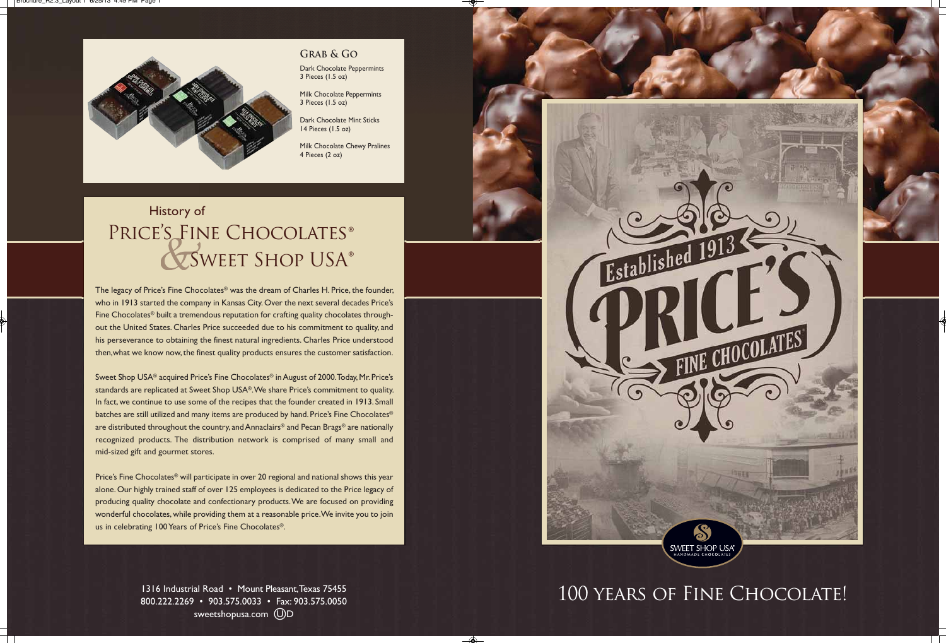The legacy of Price's Fine Chocolates® was the dream of Charles H. Price, the founder, who in 1913 started the company in Kansas City. Over the next several decades Price's Fine Chocolates® built a tremendous reputation for crafting quality chocolates throughout the United States. Charles Price succeeded due to his commitment to quality, and his perseverance to obtaining the finest natural ingredients. Charles Price understood then,what we know now, the finest quality products ensures the customer satisfaction.

Price's Fine Chocolates® will participate in over 20 regional and national shows this year alone. Our highly trained staff of over 125 employees is dedicated to the Price legacy of producing quality chocolate and confectionary products.We are focused on providing wonderful chocolates, while providing them at a reasonable price. We invite you to join us in celebrating 100 Years of Price's Fine Chocolates®.

> 1316 Industrial Road • Mount Pleasant, Texas 75455 800.222.2269 • 903.575.0033 • Fax: 903.575.0050 sweetshopusa.com (U)D

# Established 1913 SWEET SHOP USA®

 $\clubsuit$ 

Sweet Shop USA® acquired Price's Fine Chocolates® in August of 2000. Today, Mr. Price's standards are replicated at Sweet Shop USA®. We share Price's commitment to quality. In fact, we continue to use some of the recipes that the founder created in 1913. Small batches are still utilized and many items are produced by hand. Price's Fine Chocolates® are distributed throughout the country, and Annaclairs® and Pecan Brags® are nationally recognized products. The distribution network is comprised of many small and mid-sized gift and gourmet stores.

# History of Price's Fine Chocolates ® Sweet Shop USA®

# 100 years of Fine Chocolate!

Dark Chocolate Peppermints 3 Pieces (1.5 oz)

Milk Chocolate Peppermints 3 Pieces (1.5 oz)

Dark Chocolate Mint Sticks 14 Pieces (1.5 oz)

Milk Chocolate Chewy Pralines 4 Pieces (2 oz)

**Grab & Go**